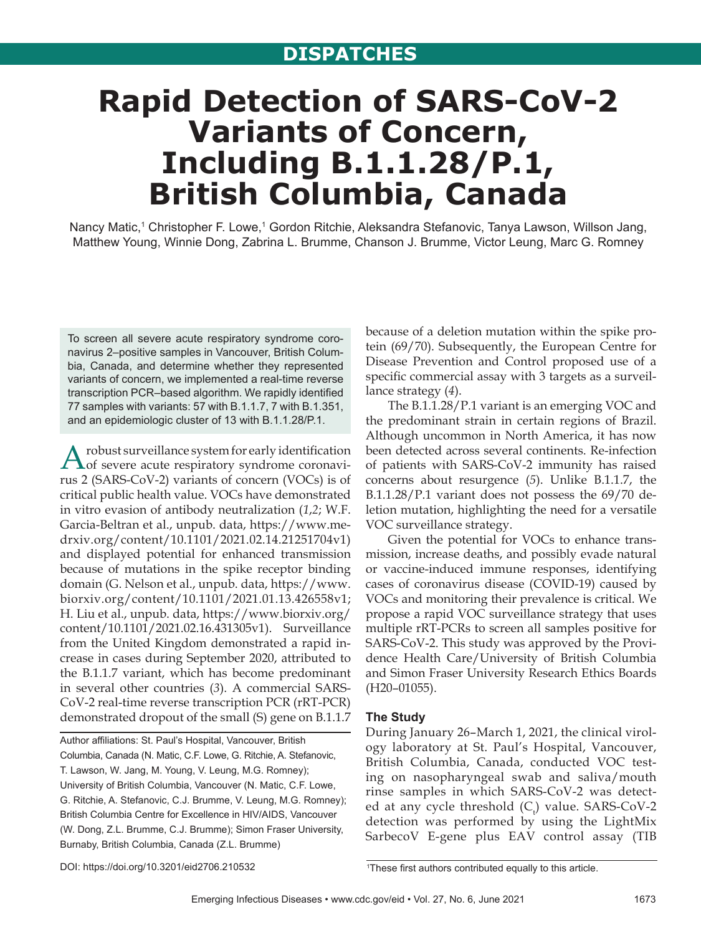# **Rapid Detection of SARS-CoV-2 Variants of Concern, Including B.1.1.28/P.1, British Columbia, Canada**

Nancy Matic,<sup>1</sup> Christopher F. Lowe,<sup>1</sup> Gordon Ritchie, Aleksandra Stefanovic, Tanya Lawson, Willson Jang, Matthew Young, Winnie Dong, Zabrina L. Brumme, Chanson J. Brumme, Victor Leung, Marc G. Romney

To screen all severe acute respiratory syndrome coronavirus 2-positive samples in Vancouver, British Columbia, Canada, and determine whether they represented variants of concern, we implemented a real-time reverse transcription PCR-based algorithm. We rapidly identified 77 samples with variants: 57 with B.1.1.7, 7 with B.1.351, and an epidemiologic cluster of 13 with B.1.1.28/P.1.

A robust surveillance system for early identification<br>of severe acute respiratory syndrome coronavirus 2 (SARS-CoV-2) variants of concern (VOCs) is of critical public health value. VOCs have demonstrated in vitro evasion of antibody neutralization (*1*,*2*; W.F. Garcia-Beltran et al., unpub. data, https://www.medrxiv.org/content/10.1101/2021.02.14.21251704v1) and displayed potential for enhanced transmission because of mutations in the spike receptor binding domain (G. Nelson et al., unpub. data, https://www. biorxiv.org/content/10.1101/2021.01.13.426558v1; H. Liu et al., unpub. data, https://www.biorxiv.org/ content/10.1101/2021.02.16.431305v1). Surveillance from the United Kingdom demonstrated a rapid increase in cases during September 2020, attributed to the B.1.1.7 variant, which has become predominant in several other countries (*3*). A commercial SARS-CoV-2 real-time reverse transcription PCR (rRT-PCR) demonstrated dropout of the small (S) gene on B.1.1.7

Author affiliations: St. Paul's Hospital, Vancouver, British Columbia, Canada (N. Matic, C.F. Lowe, G. Ritchie, A. Stefanovic, T. Lawson, W. Jang, M. Young, V. Leung, M.G. Romney); University of British Columbia, Vancouver (N. Matic, C.F. Lowe, G. Ritchie, A. Stefanovic, C.J. Brumme, V. Leung, M.G. Romney); British Columbia Centre for Excellence in HIV/AIDS, Vancouver (W. Dong, Z.L. Brumme, C.J. Brumme); Simon Fraser University, Burnaby, British Columbia, Canada (Z.L. Brumme)

because of a deletion mutation within the spike protein (69/70). Subsequently, the European Centre for Disease Prevention and Control proposed use of a specific commercial assay with 3 targets as a surveillance strategy (*4*).

The B.1.1.28/P.1 variant is an emerging VOC and the predominant strain in certain regions of Brazil. Although uncommon in North America, it has now been detected across several continents. Re-infection of patients with SARS-CoV-2 immunity has raised concerns about resurgence (*5*). Unlike B.1.1.7, the B.1.1.28/P.1 variant does not possess the 69/70 deletion mutation, highlighting the need for a versatile VOC surveillance strategy.

Given the potential for VOCs to enhance transmission, increase deaths, and possibly evade natural or vaccine-induced immune responses, identifying cases of coronavirus disease (COVID-19) caused by VOCs and monitoring their prevalence is critical. We propose a rapid VOC surveillance strategy that uses multiple rRT-PCRs to screen all samples positive for SARS-CoV-2. This study was approved by the Providence Health Care/University of British Columbia and Simon Fraser University Research Ethics Boards (H20–01055).

## **The Study**

During January 26–March 1, 2021, the clinical virology laboratory at St. Paul's Hospital, Vancouver, British Columbia, Canada, conducted VOC testing on nasopharyngeal swab and saliva/mouth rinse samples in which SARS-CoV-2 was detected at any cycle threshold  $(C_t)$  value. SARS-CoV-2 detection was performed by using the LightMix SarbecoV E-gene plus EAV control assay (TIB

DOI: https://doi.org/10.3201/eid2706.210532

<sup>&</sup>lt;sup>1</sup>These first authors contributed equally to this article.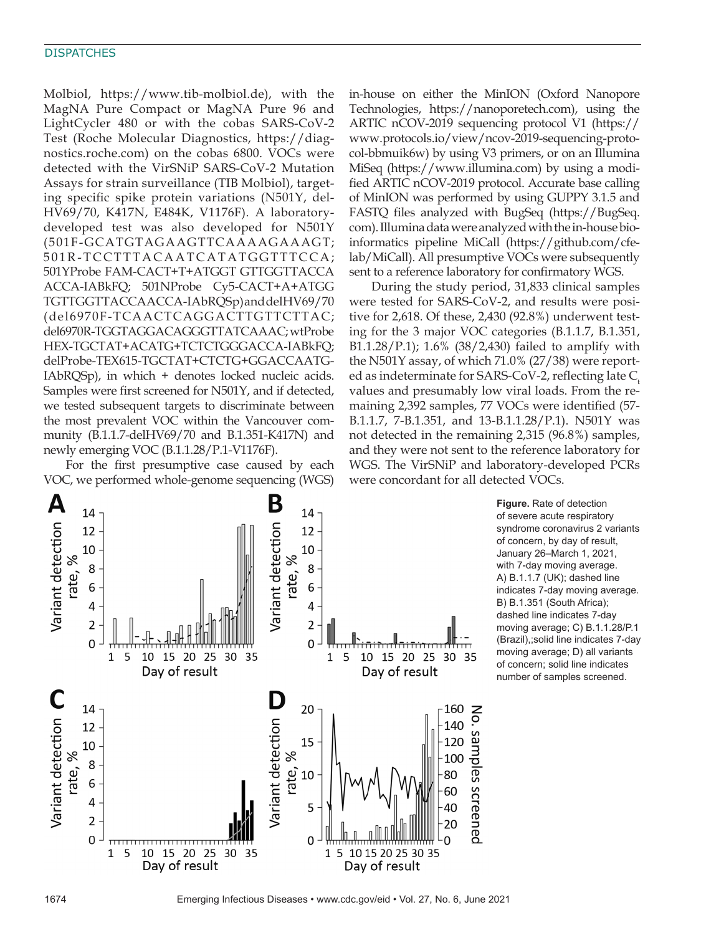#### **DISPATCHES**

Molbiol, https://www.tib-molbiol.de), with the MagNA Pure Compact or MagNA Pure 96 and LightCycler 480 or with the cobas SARS-CoV-2 Test (Roche Molecular Diagnostics, https://diagnostics.roche.com) on the cobas 6800. VOCs were detected with the VirSNiP SARS-CoV-2 Mutation Assays for strain surveillance (TIB Molbiol), targeting specific spike protein variations (N501Y, del-HV69/70, K417N, E484K, V1176F). A laboratorydeveloped test was also developed for N501Y (501F-GCATGTAGAAGTTCAAAAGAAAGT; 501R-TCCTTTACAATCATATGGTTTCCA; 501YProbe FAM-CACT+T+ATGGT GTTGGTTACCA ACCA-IABkFQ; 501NProbe Cy5-CACT+A+ATGG TGTTGGTTACCAACCA-IAbRQSp) and delHV69/70 (del6970F-TCAACTCAGGACTTGTTCTTAC; del6970R-TGGTAGGACAGGGTTATCAAAC; wtProbe HEX-TGCTAT+ACATG+TCTCTGGGACCA-IABkFQ; delProbe-TEX615-TGCTAT+CTCTG+GGACCAATG-IAbRQSp), in which + denotes locked nucleic acids. Samples were first screened for N501Y, and if detected, we tested subsequent targets to discriminate between the most prevalent VOC within the Vancouver community (B.1.1.7-delHV69/70 and B.1.351-K417N) and newly emerging VOC (B.1.1.28/P.1-V1176F).

For the first presumptive case caused by each VOC, we performed whole-genome sequencing (WGS)

in-house on either the MinION (Oxford Nanopore Technologies, https://nanoporetech.com), using the ARTIC nCOV-2019 sequencing protocol V1 (https:// www.protocols.io/view/ncov-2019-sequencing-protocol-bbmuik6w) by using V3 primers, or on an Illumina MiSeq (https://www.illumina.com) by using a modified ARTIC nCOV-2019 protocol. Accurate base calling of MinION was performed by using GUPPY 3.1.5 and FASTQ files analyzed with BugSeq (https://BugSeq. com). Illumina data were analyzed with the in-house bioinformatics pipeline MiCall (https://github.com/cfelab/MiCall). All presumptive VOCs were subsequently sent to a reference laboratory for confirmatory WGS.

During the study period, 31,833 clinical samples were tested for SARS-CoV-2, and results were positive for 2,618. Of these, 2,430 (92.8%) underwent testing for the 3 major VOC categories (B.1.1.7, B.1.351, B1.1.28/P.1); 1.6% (38/2,430) failed to amplify with the N501Y assay, of which 71.0% (27/38) were reported as indeterminate for SARS-CoV-2, reflecting late  $C<sub>t</sub>$ values and presumably low viral loads. From the remaining 2,392 samples, 77 VOCs were identified (57- B.1.1.7, 7-B.1.351, and 13-B.1.1.28/P.1). N501Y was not detected in the remaining 2,315 (96.8%) samples, and they were not sent to the reference laboratory for WGS. The VirSNiP and laboratory-developed PCRs were concordant for all detected VOCs.



**Figure.** Rate of detection of severe acute respiratory syndrome coronavirus 2 variants of concern, by day of result, January 26–March 1, 2021, with 7-day moving average. A) B.1.1.7 (UK); dashed line indicates 7-day moving average. B) B.1.351 (South Africa); dashed line indicates 7-day moving average; C) B.1.1.28/P.1 (Brazil),;solid line indicates 7-day moving average; D) all variants of concern; solid line indicates number of samples screened.

1674 Emerging Infectious Diseases • www.cdc.gov/eid • Vol. 27, No. 6, June 2021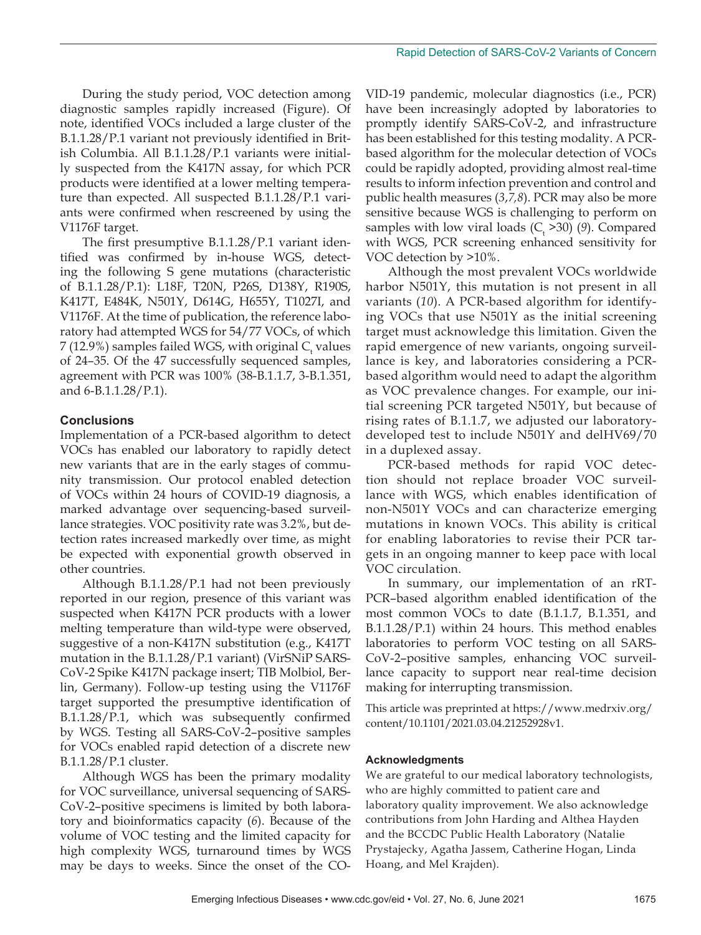During the study period, VOC detection among diagnostic samples rapidly increased (Figure). Of note, identified VOCs included a large cluster of the B.1.1.28/P.1 variant not previously identified in British Columbia. All B.1.1.28/P.1 variants were initially suspected from the K417N assay, for which PCR products were identified at a lower melting temperature than expected. All suspected B.1.1.28/P.1 variants were confirmed when rescreened by using the V1176F target.

The first presumptive B.1.1.28/P.1 variant identified was confirmed by in-house WGS, detecting the following S gene mutations (characteristic of B.1.1.28/P.1): L18F, T20N, P26S, D138Y, R190S, K417T, E484K, N501Y, D614G, H655Y, T1027I, and V1176F. At the time of publication, the reference laboratory had attempted WGS for 54/77 VOCs, of which 7 (12.9%) samples failed WGS, with original  $C_{t}$  values of 24–35. Of the 47 successfully sequenced samples, agreement with PCR was 100% (38-B.1.1.7, 3-B.1.351, and 6-B.1.1.28/P.1).

# **Conclusions**

Implementation of a PCR-based algorithm to detect VOCs has enabled our laboratory to rapidly detect new variants that are in the early stages of community transmission. Our protocol enabled detection of VOCs within 24 hours of COVID-19 diagnosis, a marked advantage over sequencing-based surveillance strategies. VOC positivity rate was 3.2%, but detection rates increased markedly over time, as might be expected with exponential growth observed in other countries.

Although B.1.1.28/P.1 had not been previously reported in our region, presence of this variant was suspected when K417N PCR products with a lower melting temperature than wild-type were observed, suggestive of a non-K417N substitution (e.g., K417T mutation in the B.1.1.28/P.1 variant) (VirSNiP SARS-CoV-2 Spike K417N package insert; TIB Molbiol, Berlin, Germany). Follow-up testing using the V1176F target supported the presumptive identification of B.1.1.28/P.1, which was subsequently confirmed by WGS. Testing all SARS-CoV-2–positive samples for VOCs enabled rapid detection of a discrete new B.1.1.28/P.1 cluster.

Although WGS has been the primary modality for VOC surveillance, universal sequencing of SARS-CoV-2–positive specimens is limited by both laboratory and bioinformatics capacity (*6*). Because of the volume of VOC testing and the limited capacity for high complexity WGS, turnaround times by WGS may be days to weeks. Since the onset of the CO-

VID-19 pandemic, molecular diagnostics (i.e., PCR) have been increasingly adopted by laboratories to promptly identify SARS-CoV-2, and infrastructure has been established for this testing modality. A PCRbased algorithm for the molecular detection of VOCs could be rapidly adopted, providing almost real-time results to inform infection prevention and control and public health measures (*3*,*7,8*). PCR may also be more sensitive because WGS is challenging to perform on samples with low viral loads  $(C_t > 30)$  (9). Compared with WGS, PCR screening enhanced sensitivity for VOC detection by >10%.

Although the most prevalent VOCs worldwide harbor N501Y, this mutation is not present in all variants (*10*). A PCR-based algorithm for identifying VOCs that use N501Y as the initial screening target must acknowledge this limitation. Given the rapid emergence of new variants, ongoing surveillance is key, and laboratories considering a PCRbased algorithm would need to adapt the algorithm as VOC prevalence changes. For example, our initial screening PCR targeted N501Y, but because of rising rates of B.1.1.7, we adjusted our laboratorydeveloped test to include N501Y and delHV69/70 in a duplexed assay.

PCR-based methods for rapid VOC detection should not replace broader VOC surveillance with WGS, which enables identification of non-N501Y VOCs and can characterize emerging mutations in known VOCs. This ability is critical for enabling laboratories to revise their PCR targets in an ongoing manner to keep pace with local VOC circulation.

In summary, our implementation of an rRT-PCR–based algorithm enabled identification of the most common VOCs to date (B.1.1.7, B.1.351, and B.1.1.28/P.1) within 24 hours. This method enables laboratories to perform VOC testing on all SARS-CoV-2–positive samples, enhancing VOC surveillance capacity to support near real-time decision making for interrupting transmission.

This article was preprinted at https://www.medrxiv.org/ content/10.1101/2021.03.04.21252928v1.

## **Acknowledgments**

We are grateful to our medical laboratory technologists, who are highly committed to patient care and laboratory quality improvement. We also acknowledge contributions from John Harding and Althea Hayden and the BCCDC Public Health Laboratory (Natalie Prystajecky, Agatha Jassem, Catherine Hogan, Linda Hoang, and Mel Krajden).